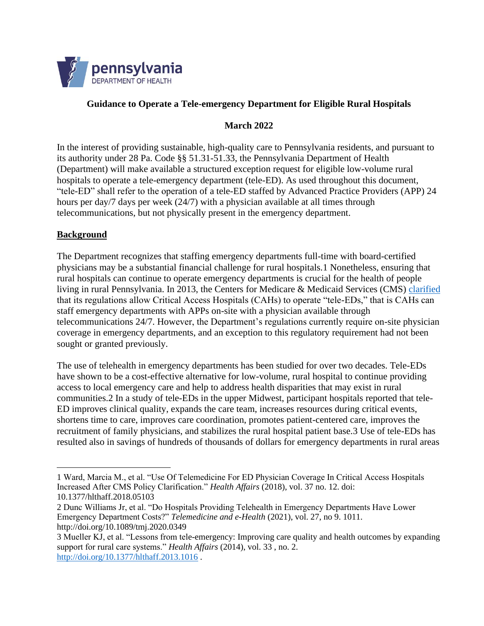

# **Guidance to Operate a Tele-emergency Department for Eligible Rural Hospitals**

#### **March 2022**

In the interest of providing sustainable, high-quality care to Pennsylvania residents, and pursuant to its authority under 28 Pa. Code §§ 51.31-51.33, the Pennsylvania Department of Health (Department) will make available a structured exception request for eligible low-volume rural hospitals to operate a tele-emergency department (tele-ED). As used throughout this document, "tele-ED" shall refer to the operation of a tele-ED staffed by Advanced Practice Providers (APP) 24 hours per day/7 days per week (24/7) with a physician available at all times through telecommunications, but not physically present in the emergency department.

## **Background**

The Department recognizes that staffing emergency departments full-time with board-certified physicians may be a substantial financial challenge for rural hospitals.1 Nonetheless, ensuring that rural hospitals can continue to operate emergency departments is crucial for the health of people living in rural Pennsylvania. In 2013, the Centers for Medicare & Medicaid Services (CMS) [clarified](https://www.cms.gov/Medicare/Provider-Enrollment-and-Certification/SurveyCertificationGenInfo/Policy-and-Memos-to-States-and-Regions-Items/Survey-and-Cert-Letter-13-38) that its regulations allow Critical Access Hospitals (CAHs) to operate "tele-EDs," that is CAHs can staff emergency departments with APPs on-site with a physician available through telecommunications 24/7. However, the Department's regulations currently require on-site physician coverage in emergency departments, and an exception to this regulatory requirement had not been sought or granted previously.

The use of telehealth in emergency departments has been studied for over two decades. Tele-EDs have shown to be a cost-effective alternative for low-volume, rural hospital to continue providing access to local emergency care and help to address health disparities that may exist in rural communities.2 In a study of tele-EDs in the upper Midwest, participant hospitals reported that tele-ED improves clinical quality, expands the care team, increases resources during critical events, shortens time to care, improves care coordination, promotes patient-centered care, improves the recruitment of family physicians, and stabilizes the rural hospital patient base.3 Use of tele-EDs has resulted also in savings of hundreds of thousands of dollars for emergency departments in rural areas

<sup>1</sup> Ward, Marcia M., et al. "Use Of Telemedicine For ED Physician Coverage In Critical Access Hospitals Increased After CMS Policy Clarification." *Health Affairs* (2018), vol. 37 no. 12. doi: 10.1377/hlthaff.2018.05103

<sup>2</sup> Dunc Williams Jr, et al. "Do Hospitals Providing Telehealth in Emergency Departments Have Lower Emergency Department Costs?" *Telemedicine and e-Health* (2021), vol. 27, no 9. 1011. http://doi.org/10.1089/tmj.2020.0349

<sup>3</sup> Mueller KJ, et al. "Lessons from tele-emergency: Improving care quality and health outcomes by expanding support for rural care systems." *Health Affairs* (2014), vol. 33 , no. 2[.](http://doi.org/10.1377/hlthaff.2013.1016)  <http://doi.org/10.1377/hlthaff.2013.1016> .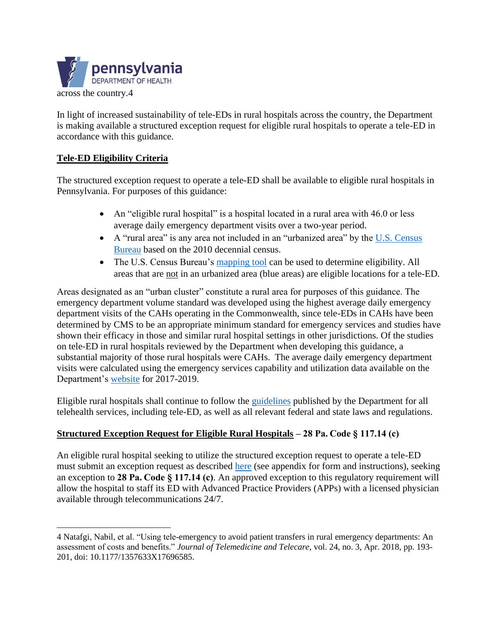

In light of increased sustainability of tele-EDs in rural hospitals across the country, the Department is making available a structured exception request for eligible rural hospitals to operate a tele-ED in accordance with this guidance.

## **Tele-ED Eligibility Criteria**

The structured exception request to operate a tele-ED shall be available to eligible rural hospitals in Pennsylvania. For purposes of this guidance:

- An "eligible rural hospital" is a hospital located in a rural area with 46.0 or less average daily emergency department visits over a two-year period.
- A "rural area" is any area not included in an "urbanized area" by the U.S. Census [Bureau](https://www.census.gov/programs-surveys/geography/guidance/geo-areas/urban-rural.html#:~:text=%E2%80%9CRural%E2%80%9D%20encompasses%20all%20population%2C,included%20within%20an%20urban%20area.) based on the 2010 decennial census.
- The U.S. Census Bureau's [mapping tool](https://tigerweb.geo.census.gov/tigerweb2020/) can be used to determine eligibility. All areas that are not in an urbanized area (blue areas) are eligible locations for a tele-ED.

Areas designated as an "urban cluster" constitute a rural area for purposes of this guidance. The emergency department volume standard was developed using the highest average daily emergency department visits of the CAHs operating in the Commonwealth, since tele-EDs in CAHs have been determined by CMS to be an appropriate minimum standard for emergency services and studies have shown their efficacy in those and similar rural hospital settings in other jurisdictions. Of the studies on tele-ED in rural hospitals reviewed by the Department when developing this guidance, a substantial majority of those rural hospitals were CAHs. The average daily emergency department visits were calculated using the emergency services capability and utilization data available on the Department's [website](https://www.health.pa.gov/topics/HealthStatistics/HealthFacilities/HospitalReports/Pages/hospital-reports.aspx) for 2017-2019.

Eligible rural hospitals shall continue to follow the [guidelines](https://www.health.pa.gov/topics/Documents/Health%20Innovation/Telemedicine%20Survey%20Guideline%20Final.pdf) published by the Department for all telehealth services, including tele-ED, as well as all relevant federal and state laws and regulations.

#### **Structured Exception Request for Eligible Rural Hospitals – 28 Pa. Code § 117.14 (c)**

An eligible rural hospital seeking to utilize the structured exception request to operate a tele-ED must submit an exception request as described [here](https://www.health.pa.gov/topics/facilities/hospitals/Pages/Exceptions.aspx) (see appendix for form and instructions), seeking an exception to **28 Pa. Code § 117.14 (c)**. An approved exception to this regulatory requirement will allow the hospital to staff its ED with Advanced Practice Providers (APPs) with a licensed physician available through telecommunications 24/7.

<sup>4</sup> Natafgi, Nabil, et al. "Using tele-emergency to avoid patient transfers in rural emergency departments: An assessment of costs and benefits." *Journal of Telemedicine and Telecare*, vol. 24, no. 3, Apr. 2018, pp. 193- 201, doi: 10.1177/1357633X17696585.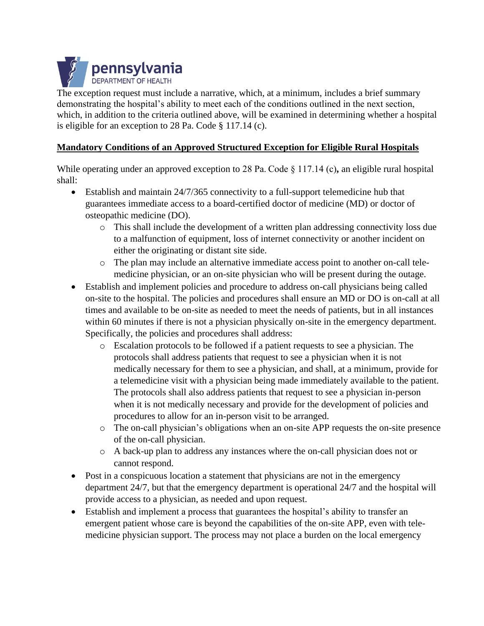

The exception request must include a narrative, which, at a minimum, includes a brief summary demonstrating the hospital's ability to meet each of the conditions outlined in the next section, which, in addition to the criteria outlined above, will be examined in determining whether a hospital is eligible for an exception to 28 Pa. Code § 117.14 (c).

## **Mandatory Conditions of an Approved Structured Exception for Eligible Rural Hospitals**

While operating under an approved exception to 28 Pa. Code § 117.14 (c)**,** an eligible rural hospital shall:

- Establish and maintain 24/7/365 connectivity to a full-support telemedicine hub that guarantees immediate access to a board-certified doctor of medicine (MD) or doctor of osteopathic medicine (DO).
	- o This shall include the development of a written plan addressing connectivity loss due to a malfunction of equipment, loss of internet connectivity or another incident on either the originating or distant site side.
	- o The plan may include an alternative immediate access point to another on-call telemedicine physician, or an on-site physician who will be present during the outage.
- Establish and implement policies and procedure to address on-call physicians being called on-site to the hospital. The policies and procedures shall ensure an MD or DO is on-call at all times and available to be on-site as needed to meet the needs of patients, but in all instances within 60 minutes if there is not a physician physically on-site in the emergency department. Specifically, the policies and procedures shall address:
	- o Escalation protocols to be followed if a patient requests to see a physician. The protocols shall address patients that request to see a physician when it is not medically necessary for them to see a physician, and shall, at a minimum, provide for a telemedicine visit with a physician being made immediately available to the patient. The protocols shall also address patients that request to see a physician in-person when it is not medically necessary and provide for the development of policies and procedures to allow for an in-person visit to be arranged.
	- o The on-call physician's obligations when an on-site APP requests the on-site presence of the on-call physician.
	- o A back-up plan to address any instances where the on-call physician does not or cannot respond.
- Post in a conspicuous location a statement that physicians are not in the emergency department 24/7, but that the emergency department is operational 24/7 and the hospital will provide access to a physician, as needed and upon request.
- Establish and implement a process that guarantees the hospital's ability to transfer an emergent patient whose care is beyond the capabilities of the on-site APP, even with telemedicine physician support. The process may not place a burden on the local emergency